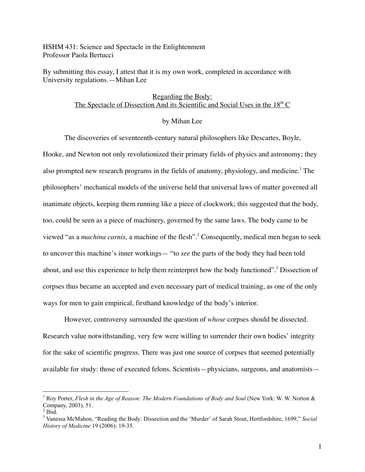HSHM 431: Science and Spectacle in the Enlightenment Professor Paola Bertucci

By submitting this essay, I attest that it is my own work, completed in accordance with University regulations.—Mihan Lee

# Regarding the Body: The Spectacle of Dissection And its Scientific and Social Uses in the 18<sup>th</sup> C

## by Mihan Lee

The discoveries of seventeenth-century natural philosophers like Descartes, Boyle,

Hooke, and Newton not only revolutionized their primary fields of physics and astronomy; they also prompted new research programs in the fields of anatomy, physiology, and medicine.<sup>1</sup> The philosophers' mechanical models of the universe held that universal laws of matter governed all inanimate objects, keeping them running like a piece of clockwork; this suggested that the body, too, could be seen as a piece of machinery, governed by the same laws. The body came to be viewed "as a *machina carnis*, a machine of the flesh".<sup>2</sup> Consequently, medical men began to seek to uncover this machine's inner workings— "to *see* the parts of the body they had been told about, and use this experience to help them reinterpret how the body functioned".<sup>3</sup> Dissection of corpses thus became an accepted and even necessary part of medical training, as one of the only ways for men to gain empirical, firsthand knowledge of the body's interior.

However, controversy surrounded the question of *whose* corpses should be dissected. Research value notwithstanding, very few were willing to surrender their own bodies' integrity for the sake of scientific progress. There was just one source of corpses that seemed potentially available for study: those of executed felons. Scientists—physicians, surgeons, and anatomists—

 <sup>1</sup> Roy Porter, *Flesh in the Age of Reason: The Modern Foundations of Body and Soul* (New York: W. W. Norton & Company, 2003), 51.<br><sup>2</sup> Ibid.<br><sup>3</sup> Vanessa McMahon, "Reading the Body: Dissection and the 'Murder' of Sarah Stout, Hertfordshire, 1699," *Social* 

*History of Medicine* 19 (2006): 19-35.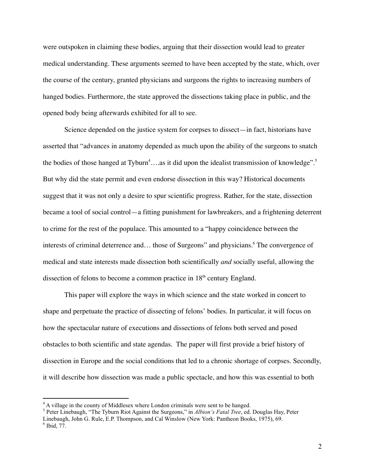were outspoken in claiming these bodies, arguing that their dissection would lead to greater medical understanding. These arguments seemed to have been accepted by the state, which, over the course of the century, granted physicians and surgeons the rights to increasing numbers of hanged bodies. Furthermore, the state approved the dissections taking place in public, and the opened body being afterwards exhibited for all to see.

Science depended on the justice system for corpses to dissect—in fact, historians have asserted that "advances in anatomy depended as much upon the ability of the surgeons to snatch the bodies of those hanged at Tyburn<sup>4</sup>....as it did upon the idealist transmission of knowledge".<sup>5</sup> But why did the state permit and even endorse dissection in this way? Historical documents suggest that it was not only a desire to spur scientific progress. Rather, for the state, dissection became a tool of social control—a fitting punishment for lawbreakers, and a frightening deterrent to crime for the rest of the populace. This amounted to a "happy coincidence between the interests of criminal deterrence and... those of Surgeons" and physicians.<sup>6</sup> The convergence of medical and state interests made dissection both scientifically *and* socially useful, allowing the dissection of felons to become a common practice in 18<sup>th</sup> century England.

This paper will explore the ways in which science and the state worked in concert to shape and perpetuate the practice of dissecting of felons' bodies. In particular, it will focus on how the spectacular nature of executions and dissections of felons both served and posed obstacles to both scientific and state agendas. The paper will first provide a brief history of dissection in Europe and the social conditions that led to a chronic shortage of corpses. Secondly, it will describe how dissection was made a public spectacle, and how this was essential to both

<sup>4</sup> <sup>A</sup> village in the county of Middlesex where London criminals were sent to be hanged. <sup>5</sup> Peter Linebaugh, "The Tyburn Riot Against the Surgeons," in *Albion's Fatal Tree*, ed. Douglas Hay, Peter Linebaugh, John G. Rule, E.P. Thompson, and Cal Winslow (New York: Pantheon Books, 1975), 69. 6 Ibid, 77.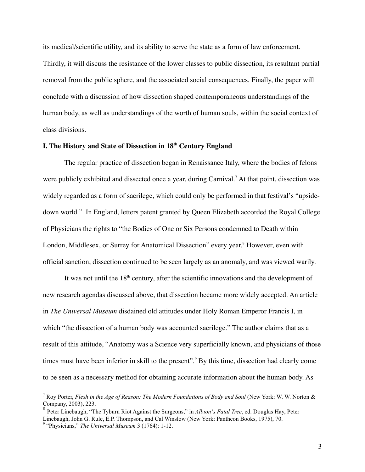its medical/scientific utility, and its ability to serve the state as a form of law enforcement. Thirdly, it will discuss the resistance of the lower classes to public dissection, its resultant partial removal from the public sphere, and the associated social consequences. Finally, the paper will conclude with a discussion of how dissection shaped contemporaneous understandings of the human body, as well as understandings of the worth of human souls, within the social context of class divisions.

# **I. The History and State of Dissection in 18th Century England**

The regular practice of dissection began in Renaissance Italy, where the bodies of felons were publicly exhibited and dissected once a year, during Carnival.<sup>7</sup> At that point, dissection was widely regarded as a form of sacrilege, which could only be performed in that festival's "upsidedown world." In England, letters patent granted by Queen Elizabeth accorded the Royal College of Physicians the rights to "the Bodies of One or Six Persons condemned to Death within London, Middlesex, or Surrey for Anatomical Dissection" every year.<sup>8</sup> However, even with official sanction, dissection continued to be seen largely as an anomaly, and was viewed warily.

It was not until the 18<sup>th</sup> century, after the scientific innovations and the development of new research agendas discussed above, that dissection became more widely accepted. An article in *The Universal Museum* disdained old attitudes under Holy Roman Emperor Francis I, in which "the dissection of a human body was accounted sacrilege." The author claims that as a result of this attitude, "Anatomy was a Science very superficially known, and physicians of those times must have been inferior in skill to the present".<sup>9</sup> By this time, dissection had clearly come to be seen as a necessary method for obtaining accurate information about the human body. As

 <sup>7</sup> Roy Porter, *Flesh in the Age of Reason: The Modern Foundations of Body and Soul* (New York: W. W. Norton & Company, 2003), 223. <sup>8</sup> Peter Linebaugh, "The Tyburn Riot Against the Surgeons," in *Albion's Fatal Tree*, ed. Douglas Hay, Peter

Linebaugh, John G. Rule, E.P. Thompson, and Cal Winslow (New York: Pantheon Books, 1975), 70. <sup>9</sup> "Physicians," *The Universal Museum* <sup>3</sup> (1764): 1-12.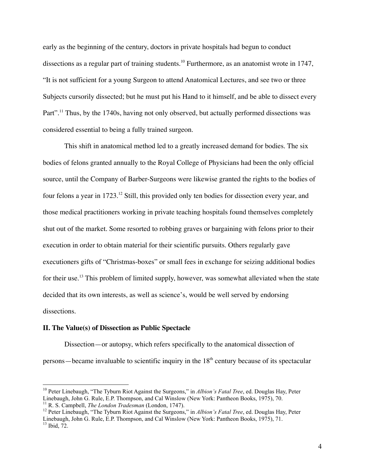early as the beginning of the century, doctors in private hospitals had begun to conduct dissections as a regular part of training students.<sup>10</sup> Furthermore, as an anatomist wrote in 1747, "It is not sufficient for a young Surgeon to attend Anatomical Lectures, and see two or three Subjects cursorily dissected; but he must put his Hand to it himself, and be able to dissect every Part".<sup>11</sup> Thus, by the 1740s, having not only observed, but actually performed dissections was considered essential to being a fully trained surgeon.

This shift in anatomical method led to a greatly increased demand for bodies. The six bodies of felons granted annually to the Royal College of Physicians had been the only official source, until the Company of Barber-Surgeons were likewise granted the rights to the bodies of four felons a year in 1723.<sup>12</sup> Still, this provided only ten bodies for dissection every year, and those medical practitioners working in private teaching hospitals found themselves completely shut out of the market. Some resorted to robbing graves or bargaining with felons prior to their execution in order to obtain material for their scientific pursuits. Others regularly gave executioners gifts of "Christmas-boxes" or small fees in exchange for seizing additional bodies for their use.<sup>13</sup> This problem of limited supply, however, was somewhat alleviated when the state decided that its own interests, as well as science's, would be well served by endorsing dissections.

## **II. The Value(s) of Dissection as Public Spectacle**

Dissection—or autopsy, which refers specifically to the anatomical dissection of persons—became invaluable to scientific inquiry in the  $18<sup>th</sup>$  century because of its spectacular

 <sup>10</sup> Peter Linebaugh, "The Tyburn Riot Against the Surgeons," in *Albion's Fatal Tree*, ed. Douglas Hay, Peter Linebaugh, John G. Rule, E.P. Thompson, and Cal Winslow (New York: Pantheon Books, 1975), 70.<br><sup>11</sup> R. S. Campbell, *The London Tradesman* (London, 1747).<br><sup>12</sup> Peter Linebaugh, "The Tyburn Riot Against the Surgeons," in *Al* 

Linebaugh, John G. Rule, E.P. Thompson, and Cal Winslow (New York: Pantheon Books, 1975), 71. <sup>13</sup> Ibid, 72.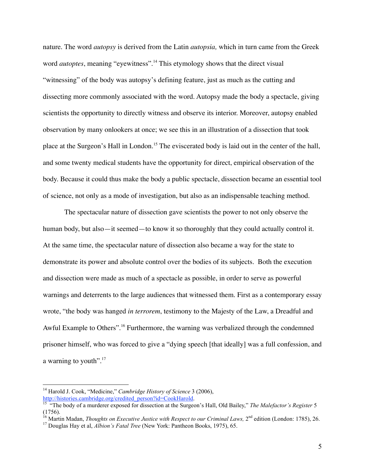nature. The word *autopsy* is derived from the Latin *autopsia,* which in turn came from the Greek word *autoptes*, meaning "eyewitness".<sup>14</sup> This etymology shows that the direct visual "witnessing" of the body was autopsy's defining feature, just as much as the cutting and dissecting more commonly associated with the word. Autopsy made the body a spectacle, giving scientists the opportunity to directly witness and observe its interior. Moreover, autopsy enabled observation by many onlookers at once; we see this in an illustration of a dissection that took place at the Surgeon's Hall in London.15 The eviscerated body is laid out in the center of the hall, and some twenty medical students have the opportunity for direct, empirical observation of the body. Because it could thus make the body a public spectacle, dissection became an essential tool of science, not only as a mode of investigation, but also as an indispensable teaching method.

The spectacular nature of dissection gave scientists the power to not only observe the human body, but also—it seemed—to know it so thoroughly that they could actually control it. At the same time, the spectacular nature of dissection also became a way for the state to demonstrate its power and absolute control over the bodies of its subjects. Both the execution and dissection were made as much of a spectacle as possible, in order to serve as powerful warnings and deterrents to the large audiences that witnessed them. First as a contemporary essay wrote, "the body was hanged *in terrorem*, testimony to the Majesty of the Law, a Dreadful and Awful Example to Others".<sup>16</sup> Furthermore, the warning was verbalized through the condemned prisoner himself, who was forced to give a "dying speech [that ideally] was a full confession, and a warning to youth".17

 <sup>14</sup> Harold J. Cook, "Medicine," *Cambridge History of Science* <sup>3</sup> (2006), http://histories.cambridge.org/credited\_person?id=CookHarold. <sup>15</sup> "The body of <sup>a</sup> murderer exposed for dissection at the Surgeon's Hall, Old Bailey," *The Malefactor's Register* <sup>5</sup>

<sup>(1756).&</sup>lt;br><sup>16</sup> Martin Madan, *Thoughts on Executive Justice with Respect to our Criminal Laws*,  $2^{nd}$  edition (London: 1785), 26.<br><sup>17</sup> Douglas Hay et al, *Albion's Fatal Tree* (New York: Pantheon Books, 1975), 65.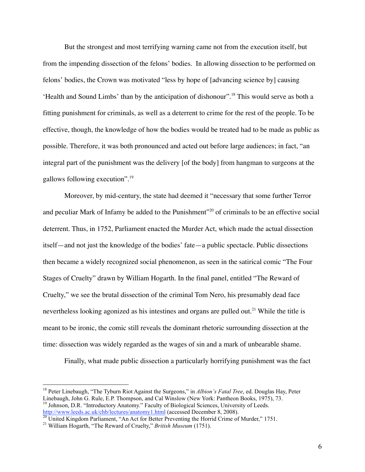But the strongest and most terrifying warning came not from the execution itself, but from the impending dissection of the felons' bodies. In allowing dissection to be performed on felons' bodies, the Crown was motivated "less by hope of [advancing science by] causing 'Health and Sound Limbs' than by the anticipation of dishonour".18 This would serve as both a fitting punishment for criminals, as well as a deterrent to crime for the rest of the people. To be effective, though, the knowledge of how the bodies would be treated had to be made as public as possible. Therefore, it was both pronounced and acted out before large audiences; in fact, "an integral part of the punishment was the delivery [of the body] from hangman to surgeons at the gallows following execution".19

Moreover, by mid-century, the state had deemed it "necessary that some further Terror and peculiar Mark of Infamy be added to the Punishment<sup>"20</sup> of criminals to be an effective social deterrent. Thus, in 1752, Parliament enacted the Murder Act, which made the actual dissection itself—and not just the knowledge of the bodies' fate—a public spectacle. Public dissections then became a widely recognized social phenomenon, as seen in the satirical comic "The Four Stages of Cruelty" drawn by William Hogarth. In the final panel, entitled "The Reward of Cruelty," we see the brutal dissection of the criminal Tom Nero, his presumably dead face nevertheless looking agonized as his intestines and organs are pulled out.<sup>21</sup> While the title is meant to be ironic, the comic still reveals the dominant rhetoric surrounding dissection at the time: dissection was widely regarded as the wages of sin and a mark of unbearable shame.

Finally, what made public dissection a particularly horrifying punishment was the fact

 <sup>18</sup> Peter Linebaugh, "The Tyburn Riot Against the Surgeons," in *Albion's Fatal Tree*, ed. Douglas Hay, Peter Linebaugh, John G. Rule, E.P. Thompson, and Cal Winslow (New York: Pantheon Books, 1975), 73. <sup>19</sup> Johnson, D.R. "Introductory Anatomy." Faculty of Biological Sciences, University of Leeds. http://www.leeds.ac.uk/chb/lectures/anatomy1.html (accessed December 8, 2008).<br><sup>20</sup> United Kingdom Parliament, "An Act for Better Preventing the Horrid Crime of Murder," 1751.<br><sup>21</sup> William Hogarth, "The Reward of Cruelty,"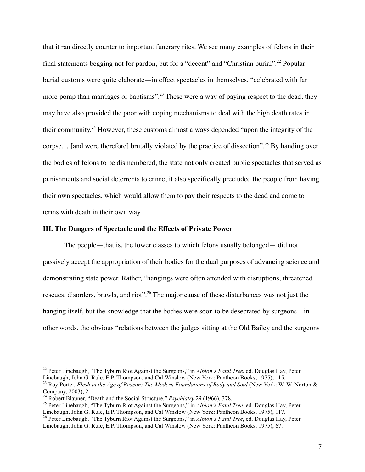that it ran directly counter to important funerary rites. We see many examples of felons in their final statements begging not for pardon, but for a "decent" and "Christian burial".<sup>22</sup> Popular burial customs were quite elaborate—in effect spectacles in themselves, "celebrated with far more pomp than marriages or baptisms".<sup>23</sup> These were a way of paying respect to the dead; they may have also provided the poor with coping mechanisms to deal with the high death rates in their community.<sup>24</sup> However, these customs almost always depended "upon the integrity of the corpse… [and were therefore] brutally violated by the practice of dissection".25 By handing over the bodies of felons to be dismembered, the state not only created public spectacles that served as punishments and social deterrents to crime; it also specifically precluded the people from having their own spectacles, which would allow them to pay their respects to the dead and come to terms with death in their own way.

### **III. The Dangers of Spectacle and the Effects of Private Power**

The people—that is, the lower classes to which felons usually belonged— did not passively accept the appropriation of their bodies for the dual purposes of advancing science and demonstrating state power. Rather, "hangings were often attended with disruptions, threatened rescues, disorders, brawls, and riot".<sup>26</sup> The major cause of these disturbances was not just the hanging itself, but the knowledge that the bodies were soon to be desecrated by surgeons—in other words, the obvious "relations between the judges sitting at the Old Bailey and the surgeons

 <sup>22</sup> Peter Linebaugh, "The Tyburn Riot Against the Surgeons," in *Albion's Fatal Tree*, ed. Douglas Hay, Peter

Linebaugh, John G. Rule, E.P. Thompson, and Cal Winslow (New York: Pantheon Books, 1975), 115.<br><sup>23</sup> Roy Porter, *Flesh in the Age of Reason: The Modern Foundations of Body and Soul* (New York: W. W. Norton & Company, 2003)

<sup>&</sup>lt;sup>24</sup> Robert Blauner, "Death and the Social Structure," *Psychiatry* 29 (1966), 378.<br><sup>25</sup> Peter Linebaugh, "The Tyburn Riot Against the Surgeons," in *Albion's Fatal Tree*, ed. Douglas Hay, Peter Linebaugh, John G. Rule, E

<sup>&</sup>lt;sup>26</sup> Peter Linebaugh, "The Tyburn Riot Against the Surgeons," in *Albion's Fatal Tree*, ed. Douglas Hay, Peter Linebaugh, John G. Rule, E.P. Thompson, and Cal Winslow (New York: Pantheon Books, 1975), 67.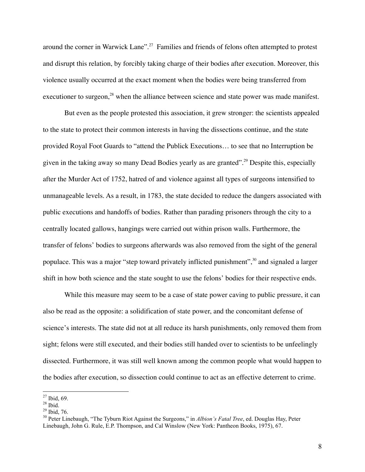around the corner in Warwick Lane".<sup>27</sup> Families and friends of felons often attempted to protest and disrupt this relation, by forcibly taking charge of their bodies after execution. Moreover, this violence usually occurred at the exact moment when the bodies were being transferred from executioner to surgeon, $^{28}$  when the alliance between science and state power was made manifest.

But even as the people protested this association, it grew stronger: the scientists appealed to the state to protect their common interests in having the dissections continue, and the state provided Royal Foot Guards to "attend the Publick Executions… to see that no Interruption be given in the taking away so many Dead Bodies yearly as are granted".<sup>29</sup> Despite this, especially after the Murder Act of 1752, hatred of and violence against all types of surgeons intensified to unmanageable levels. As a result, in 1783, the state decided to reduce the dangers associated with public executions and handoffs of bodies. Rather than parading prisoners through the city to a centrally located gallows, hangings were carried out within prison walls. Furthermore, the transfer of felons' bodies to surgeons afterwards was also removed from the sight of the general populace. This was a major "step toward privately inflicted punishment",<sup>30</sup> and signaled a larger shift in how both science and the state sought to use the felons' bodies for their respective ends.

While this measure may seem to be a case of state power caving to public pressure, it can also be read as the opposite: a solidification of state power, and the concomitant defense of science's interests. The state did not at all reduce its harsh punishments, only removed them from sight; felons were still executed, and their bodies still handed over to scientists to be unfeelingly dissected. Furthermore, it was still well known among the common people what would happen to the bodies after execution, so dissection could continue to act as an effective deterrent to crime.

<sup>&</sup>lt;sup>27</sup> Ibid, 69.<br><sup>28</sup> Ibid. 76.<br><sup>29</sup> Ibid, 76.<br><sup>30</sup> Peter Linebaugh, "The Tyburn Riot Against the Surgeons," in *Albion's Fatal Tree*, ed. Douglas Hay, Peter Linebaugh, John G. Rule, E.P. Thompson, and Cal Winslow (New York: Pantheon Books, 1975), 67.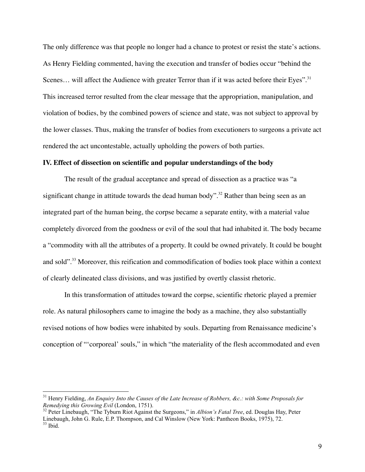The only difference was that people no longer had a chance to protest or resist the state's actions. As Henry Fielding commented, having the execution and transfer of bodies occur "behind the Scenes... will affect the Audience with greater Terror than if it was acted before their Eyes".<sup>31</sup> This increased terror resulted from the clear message that the appropriation, manipulation, and violation of bodies, by the combined powers of science and state, was not subject to approval by the lower classes. Thus, making the transfer of bodies from executioners to surgeons a private act rendered the act uncontestable, actually upholding the powers of both parties.

### **IV. Effect of dissection on scientific and popular understandings of the body**

The result of the gradual acceptance and spread of dissection as a practice was "a significant change in attitude towards the dead human body".<sup>32</sup> Rather than being seen as an integrated part of the human being, the corpse became a separate entity, with a material value completely divorced from the goodness or evil of the soul that had inhabited it. The body became a "commodity with all the attributes of a property. It could be owned privately. It could be bought and sold".<sup>33</sup> Moreover, this reification and commodification of bodies took place within a context of clearly delineated class divisions, and was justified by overtly classist rhetoric.

In this transformation of attitudes toward the corpse, scientific rhetoric played a premier role. As natural philosophers came to imagine the body as a machine, they also substantially revised notions of how bodies were inhabited by souls. Departing from Renaissance medicine's conception of "'corporeal' souls," in which "the materiality of the flesh accommodated and even

 <sup>31</sup> Henry Fielding, *An Enquiry Into the Causes of the Late Increase of Robbers, &c.: with Some Proposals for*

<sup>&</sup>lt;sup>32</sup> Peter Linebaugh, "The Tyburn Riot Against the Surgeons," in *Albion's Fatal Tree*, ed. Douglas Hay, Peter Linebaugh, John G. Rule, E.P. Thompson, and Cal Winslow (New York: Pantheon Books, 1975), 72.<br><sup>33</sup> Ibid.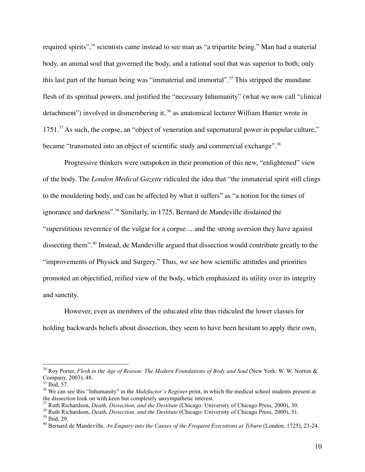required spirits",<sup>34</sup> scientists came instead to see man as "a tripartite being." Man had a material body, an animal soul that governed the body, and a rational soul that was superior to both; only this last part of the human being was "immaterial and immortal".<sup>35</sup> This stripped the mundane flesh of its spiritual powers, and justified the "necessary Inhumanity" (what we now call "clinical detachment") involved in dismembering it, 36 as anatomical lecturer William Hunter wrote in 1751.<sup>37</sup> As such, the corpse, an "object of veneration and supernatural power in popular culture," became "transmuted into an object of scientific study and commercial exchange".<sup>38</sup>

Progressive thinkers were outspoken in their promotion of this new, "enlightened" view of the body. The *London Medical Gazette* ridiculed the idea that "the immaterial spirit still clings to the mouldering body, and can be affected by what it suffers" as "a notion for the times of ignorance and darkness".39 Similarly, in 1725, Bernard de Mandeville disdained the "superstitious reverence of the vulgar for a corpse… and the strong aversion they have against dissecting them".40 Instead, de Mandeville argued that dissection would contribute greatly to the "improvements of Physick and Surgery." Thus, we see how scientific attitudes and priorities promoted an objectified, reified view of the body, which emphasized its utility over its integrity and sanctity.

However, even as members of the educated elite thus ridiculed the lower classes for holding backwards beliefs about dissection, they seem to have been hesitant to apply their own,

<sup>37</sup> Ruth Richardson, *Death, Dissection, and the Destitute* (Chicago: University of Chicago Press, 2000), 30.<br><sup>38</sup> Ruth Richardson, *Death, Dissection, and the Destitute* (Chicago: University of Chicago Press, 2000), 51.

 <sup>34</sup> Roy Porter, *Flesh in the Age of Reason: The Modern Foundations of Body and Soul* (New York: W. W. Norton &

<sup>&</sup>lt;sup>35</sup> Ibid, 57.<br><sup>36</sup> We can see this "Inhumanity" in the *Malefactor's Register* print, in which the medical school students present at the dissection look on with keen but completely unsympathetic interest.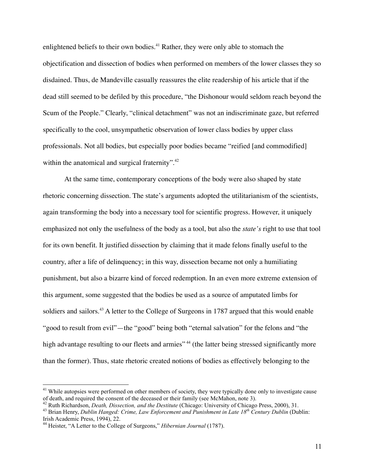enlightened beliefs to their own bodies.<sup>41</sup> Rather, they were only able to stomach the objectification and dissection of bodies when performed on members of the lower classes they so disdained. Thus, de Mandeville casually reassures the elite readership of his article that if the dead still seemed to be defiled by this procedure, "the Dishonour would seldom reach beyond the Scum of the People." Clearly, "clinical detachment" was not an indiscriminate gaze, but referred specifically to the cool, unsympathetic observation of lower class bodies by upper class professionals. Not all bodies, but especially poor bodies became "reified [and commodified] within the anatomical and surgical fraternity".<sup>42</sup>

At the same time, contemporary conceptions of the body were also shaped by state rhetoric concerning dissection. The state's arguments adopted the utilitarianism of the scientists, again transforming the body into a necessary tool for scientific progress. However, it uniquely emphasized not only the usefulness of the body as a tool, but also the *state's* right to use that tool for its own benefit. It justified dissection by claiming that it made felons finally useful to the country, after a life of delinquency; in this way, dissection became not only a humiliating punishment, but also a bizarre kind of forced redemption. In an even more extreme extension of this argument, some suggested that the bodies be used as a source of amputated limbs for soldiers and sailors.<sup>43</sup> A letter to the College of Surgeons in 1787 argued that this would enable "good to result from evil"—the "good" being both "eternal salvation" for the felons and "the high advantage resulting to our fleets and armies"<sup>44</sup> (the latter being stressed significantly more than the former). Thus, state rhetoric created notions of bodies as effectively belonging to the

 $41$  While autopsies were performed on other members of society, they were typically done only to investigate cause of death, and required the consent of the deceased or their family (see McMahon, note 3).

<sup>&</sup>lt;sup>42</sup> Ruth Richardson, *Death, Dissection, and the Destitute* (Chicago: University of Chicago Press, 2000), 31.<br><sup>43</sup> Brian Henry, *Dublin Hanged: Crime, Law Enforcement and Punishment in Late 18<sup>th</sup> Century Dublin (Dublin:* 

<sup>&</sup>lt;sup>44</sup> Heister, "A Letter to the College of Surgeons," *Hibernian Journal* (1787).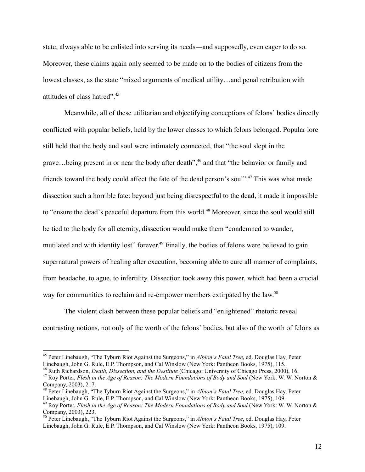state, always able to be enlisted into serving its needs—and supposedly, even eager to do so. Moreover, these claims again only seemed to be made on to the bodies of citizens from the lowest classes, as the state "mixed arguments of medical utility…and penal retribution with attitudes of class hatred".<sup>45</sup>

Meanwhile, all of these utilitarian and objectifying conceptions of felons' bodies directly conflicted with popular beliefs, held by the lower classes to which felons belonged. Popular lore still held that the body and soul were intimately connected, that "the soul slept in the grave…being present in or near the body after death",46 and that "the behavior or family and friends toward the body could affect the fate of the dead person's soul".<sup>47</sup> This was what made dissection such a horrible fate: beyond just being disrespectful to the dead, it made it impossible to "ensure the dead's peaceful departure from this world.<sup>48</sup> Moreover, since the soul would still be tied to the body for all eternity, dissection would make them "condemned to wander, mutilated and with identity lost" forever.<sup>49</sup> Finally, the bodies of felons were believed to gain supernatural powers of healing after execution, becoming able to cure all manner of complaints, from headache, to ague, to infertility. Dissection took away this power, which had been a crucial way for communities to reclaim and re-empower members extirpated by the law.<sup>50</sup>

The violent clash between these popular beliefs and "enlightened" rhetoric reveal contrasting notions, not only of the worth of the felons' bodies, but also of the worth of felons as

<sup>&</sup>lt;sup>45</sup> Peter Linebaugh, "The Tyburn Riot Against the Surgeons," in *Albion's Fatal Tree*, ed. Douglas Hay, Peter Linebaugh, John G. Rule, E.P. Thompson, and Cal Winslow (New York: Pantheon Books, 1975), 115.

<sup>&</sup>lt;sup>46</sup> Ruth Richardson, *Death, Dissection, and the Destitute* (Chicago: University of Chicago Press, 2000), 16.<br><sup>47</sup> Roy Porter, *Flesh in the Age of Reason: The Modern Foundations of Body and Soul* (New York: W. W. Norton

<sup>&</sup>lt;sup>48</sup> Peter Linebaugh, "The Tyburn Riot Against the Surgeons," in *Albion's Fatal Tree*, ed. Douglas Hay, Peter Linebaugh, John G. Rule, E.P. Thompson, and Cal Winslow (New York: Pantheon Books, 1975), 109.

<sup>&</sup>lt;sup>49</sup> Roy Porter, Flesh in the Age of Reason: The Modern Foundations of Body and Soul (New York: W. W. Norton & Company, 2003), 223. <sup>50</sup> Peter Linebaugh, "The Tyburn Riot Against the Surgeons," in *Albion's Fatal Tree*, ed. Douglas Hay, Peter

Linebaugh, John G. Rule, E.P. Thompson, and Cal Winslow (New York: Pantheon Books, 1975), 109.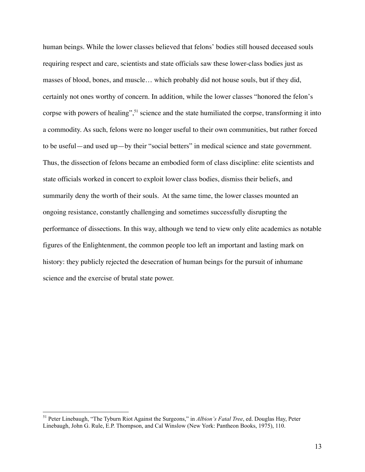human beings. While the lower classes believed that felons' bodies still housed deceased souls requiring respect and care, scientists and state officials saw these lower-class bodies just as masses of blood, bones, and muscle… which probably did not house souls, but if they did, certainly not ones worthy of concern. In addition, while the lower classes "honored the felon's corpse with powers of healing",  $51$  science and the state humiliated the corpse, transforming it into a commodity. As such, felons were no longer useful to their own communities, but rather forced to be useful—and used up—by their "social betters" in medical science and state government. Thus, the dissection of felons became an embodied form of class discipline: elite scientists and state officials worked in concert to exploit lower class bodies, dismiss their beliefs, and summarily deny the worth of their souls. At the same time, the lower classes mounted an ongoing resistance, constantly challenging and sometimes successfully disrupting the performance of dissections. In this way, although we tend to view only elite academics as notable figures of the Enlightenment, the common people too left an important and lasting mark on history: they publicly rejected the desecration of human beings for the pursuit of inhumane science and the exercise of brutal state power.

 <sup>51</sup> Peter Linebaugh, "The Tyburn Riot Against the Surgeons," in *Albion's Fatal Tree*, ed. Douglas Hay, Peter Linebaugh, John G. Rule, E.P. Thompson, and Cal Winslow (New York: Pantheon Books, 1975), 110.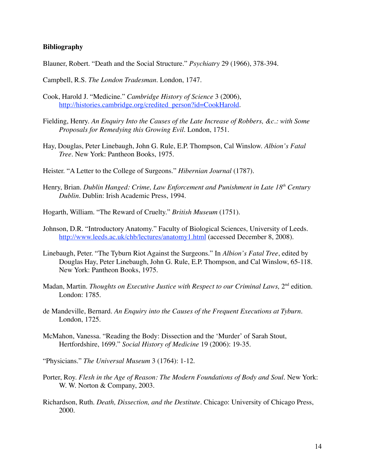## **Bibliography**

Blauner, Robert. "Death and the Social Structure." *Psychiatry* 29 (1966), 378-394.

Campbell, R.S. *The London Tradesman*. London, 1747.

- Cook, Harold J. "Medicine." *Cambridge History of Science* 3 (2006), http://histories.cambridge.org/credited\_person?id=CookHarold.
- Fielding, Henry. *An Enquiry Into the Causes of the Late Increase of Robbers, &c.: with Some Proposals for Remedying this Growing Evil*. London, 1751.
- Hay, Douglas, Peter Linebaugh, John G. Rule, E.P. Thompson, Cal Winslow. *Albion's Fatal Tree*. New York: Pantheon Books, 1975.
- Heister. "A Letter to the College of Surgeons." *Hibernian Journal* (1787).
- Henry, Brian. Dublin Hanged: Crime, Law Enforcement and Punishment in Late 18<sup>th</sup> Century *Dublin.* Dublin: Irish Academic Press, 1994.
- Hogarth, William. "The Reward of Cruelty." *British Museum* (1751).
- Johnson, D.R. "Introductory Anatomy." Faculty of Biological Sciences, University of Leeds. http://www.leeds.ac.uk/chb/lectures/anatomy1.html (accessed December 8, 2008).
- Linebaugh, Peter. "The Tyburn Riot Against the Surgeons." In *Albion's Fatal Tree*, edited by Douglas Hay, Peter Linebaugh, John G. Rule, E.P. Thompson, and Cal Winslow, 65-118. New York: Pantheon Books, 1975.
- Madan, Martin. *Thoughts on Executive Justice with Respect to our Criminal Laws*, 2<sup>nd</sup> edition. London: 1785.
- de Mandeville, Bernard. *An Enquiry into the Causes of the Frequent Executions at Tyburn.* London, 1725.
- McMahon, Vanessa. "Reading the Body: Dissection and the 'Murder' of Sarah Stout, Hertfordshire, 1699." *Social History of Medicine* 19 (2006): 19-35.
- "Physicians." *The Universal Museum* 3 (1764): 1-12.
- Porter, Roy. *Flesh in the Age of Reason: The Modern Foundations of Body and Soul.* New York: W. W. Norton & Company, 2003.
- Richardson, Ruth. *Death, Dissection, and the Destitute.* Chicago: University of Chicago Press, 2000.